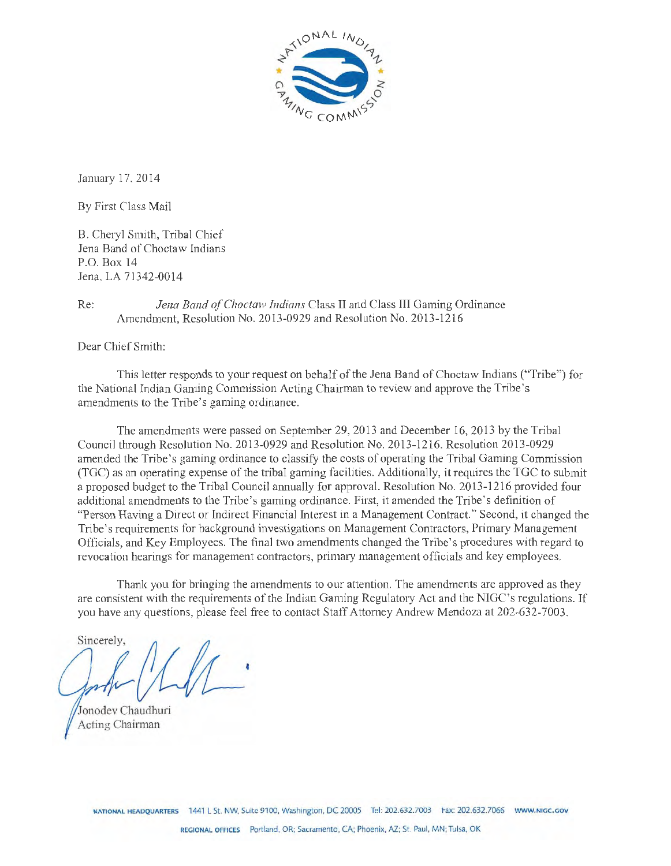

January 17, 2014

By First Class Mail

B. Cheryl Smith, Tribal Chief Jena Band of Choctaw Indians P.O. Box 14 Jena, LA 71342-0014

#### Re: *Jena Band of Choctaw Indians* Class II and Class III Gaming Ordinance Amendment, Resolution No. 2013-0929 and Resolution No. 2013-1216

Dear Chief Smith:

This letter responds to your request on behalf of the Jena Band of Choctaw Indians ("Tribe") for the National Indian Gaming Commission Acting Chairman to review and approve the Tribe's amendments to the Tribe's gaming ordinance.

The amendments were passed on September 29, 2013 and December 16, 2013 by the Tribal Council through Resolution No. 2013-0929 and Resolution No. 2013-1216. Resolution 2013-0929 amended the Tribe's gaming ordinance to classify the costs of operating the Tribal Gaming Commission (TGC) as an operating expense of the tribal gaming facilities. Additionally, it requires the TGC to submit a proposed budget to the Tribal Council annually for approval. Resolution No. 2013-1216 provided four additional amendments to the Tribe's gaming ordinance. First, it amended the Tribe's definition of "Person Having a Direct or Indirect Financial Interest in a Management Contract." Second, it changed the Tribe's requirements for background investigations on Management Contractors, Primary Management Officials, and Key Employees. The final two amendments changed the Tribe's procedures with regard to revocation hearings for management contractors, primary management officials and key employees.

Thank you for bringing the amendments to our attention. The amendments are approved as they are consistent with the requirements of the Indian Gaming Regulatory Act and the NIGC's regulations. If you have any questions, please feel free to contact Staff Attorney Andrew Mendoza at 202-632-7003.

Sincerely.

Jonodev Chaudhuri Acting Chairman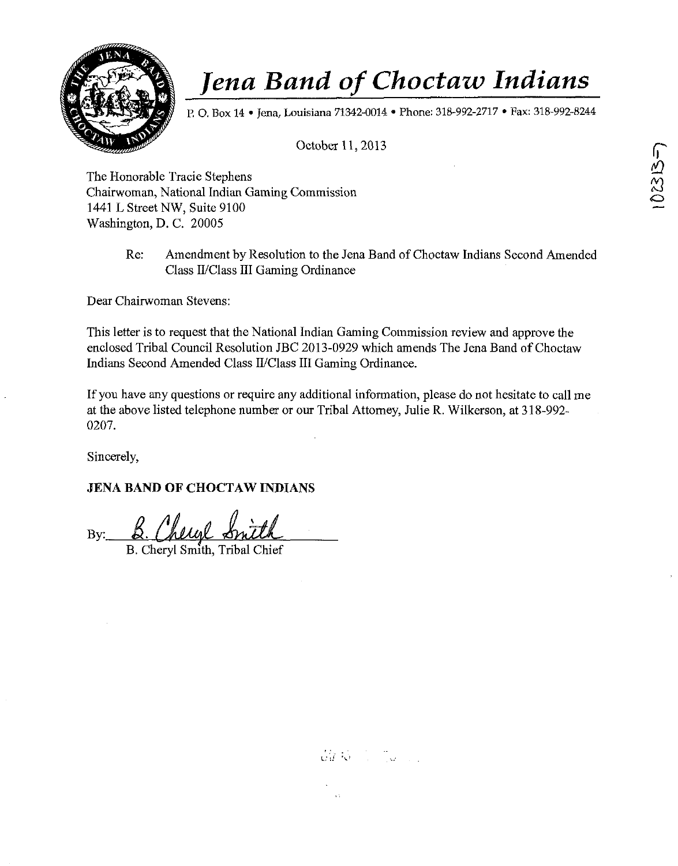

P. O. Box 14 • Jena, Louisiana 71342-0014 • Phone: 318-992-2717 • Fax: 318-992-8244

October 11, 2013

The Honorable Tracie Stephens Chairwoman, National Indian Gaming Commission 1441 L Street NW, Suite 9100 Washington, D. C. 20005

> Re: Amendment by Resolution to the Jena Band of Choctaw Indians Second Amended Class II/Class III Gaming Ordinance

Dear Chairwoman Stevens:

This letter is to request that the National Indian Gaming Commission review and approve the enclosed Tribal Council Resolution JBC 2013-0929 which amends The Jena Band of Choctaw Indians Second Amended Class II/Class III Gaming Ordinance.

If you have any questions or require any additional information, please do not hesitate to call me at the above listed telephone number or our Tribal Attorney, Julie R. Wilkerson, at 318-992- 0207.

Sincerely,

#### **JENA BAND OF CHOCTAW INDIANS**

 $B:~$  B. Chenel St

B. Cheryl Smith, Tribal Chief

 $\frac{\partial y}{\partial d}$   $\left(\frac{\partial y}{\partial x} - \frac{\partial y}{\partial y} - \frac{\partial y}{\partial y} \right)$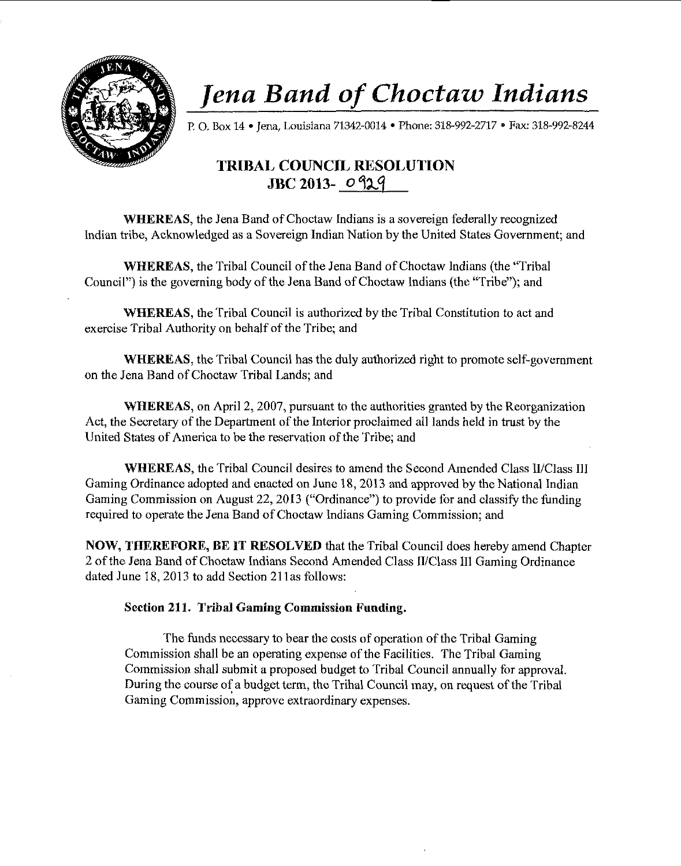

P. O. Box 14 • Jena, Louisiana 71342-0014 • Phone: 318-992-2717 • Fax: 318-992-8244

### **TRIBAL COUNCIL RESOLUTION JBC 2013-** *o* 4~.'f

**WHEREAS,** the Jena Band of Choctaw Indians is a sovereign federally recognized Indian tribe, Acknowledged as a Sovereign Indian Nation by the United States Government; and

**WHEREAS,** the Tribal Council of the Jena Band of Choctaw Indians (the "Tribal Council") is the governing body of the Jena Band of Choctaw Indians (the "Tribe"); and

**WHEREAS,** the Tribal Council is authorized by the Tribal Constitution to act and exercise Tribal Authority on behalf of the Tribe; and

**WHEREAS,** the Tribal Council has the duly authorized right to promote self-government on the Jena Band of Choctaw Tribal Lands; and

**WHEREAS,** on April 2, 2007, pursuant to the authorities granted by the Reorganization Act, the Secretary of the Department of the Interior proclaimed all lands held in trust by the United States of America to be the reservation of the Tribe; and

**WHEREAS,** the Tribal Council desires to amend the Second Amended Class II/Class III Gaming Ordinance adopted and enacted on June 18, 2013 and approved by the National Indian Gaming Commission on August 22, 2013 ("Ordinance") to provide for and classify the funding required to operate the Jena Band of Choctaw Indians Gaming Commission; and

**NOW, THEREFORE, BE IT RESOLVED** that the Tribal Council does hereby amend Chapter 2 of the Jena Band of Choctaw Indians Second Amended Class II/Class Ill Gaming Ordinance dated June 18, 2013 to add Section 21 las follows:

#### **Section 211. Tribal Gaming Commission Funding.**

The funds necessary to bear the costs of operation of the Tribal Gaming Commission shall be an operating expense of the Facilities. The Tribal Gaming Commission shall submit a proposed budget to Tribal Council annually for approvaL During the course of a budget term, the Tribal Council may, on request of the Tribal Gaming Commission, approve extraordinary expenses.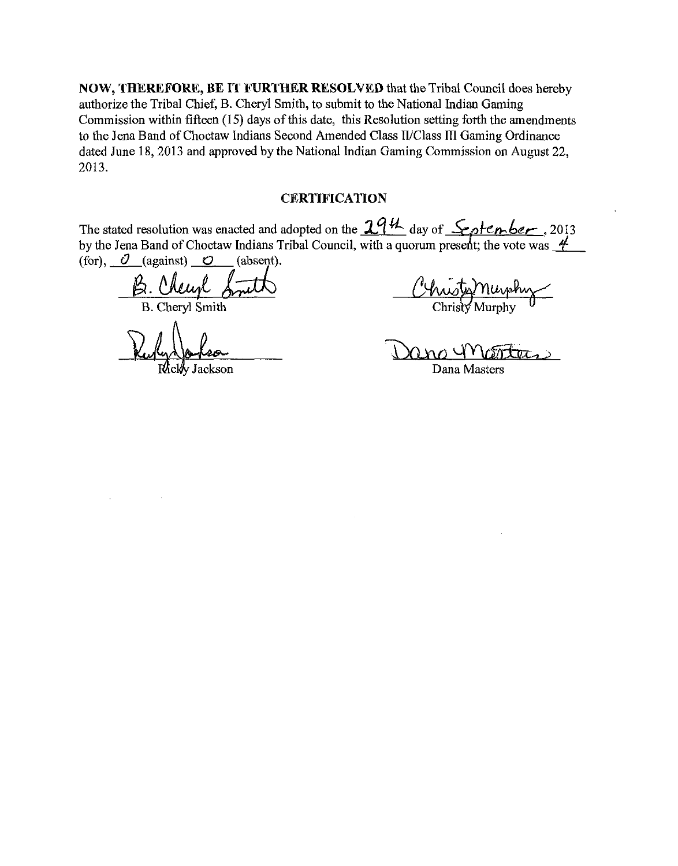NOW, THEREFORE, BE IT FURTHER RESOLVED that the Tribal Council does hereby authorize the Tribal Chief, B. Cheryl Smith, to submit to the National Indian Gaming Commission within fifteen (15) days of this date, this Resolution setting forth the amendments to the Jena Band of Choctaw Indians Second Amended Class II/Class III Gaming Ordinance dated June 18, 2013 and approved by the National Indian Gaming Commission on August 22, 2013.

#### **CERTIFICATION**

The stated resolution was enacted and adopted on the  $2.94$  day of  $\mathcal{L}_\rho$ tenber, 2013 by the Jena Band of Choctaw Indians Tribal Council, with a quorum present; the vote was <u>4</u> (for),  $\mathcal{O}$  (against)  $\mathcal{O}$  (absent).

B. Cheef Smith

B. Cheryl Smith

Jackson

Dana Monters

Dana Masters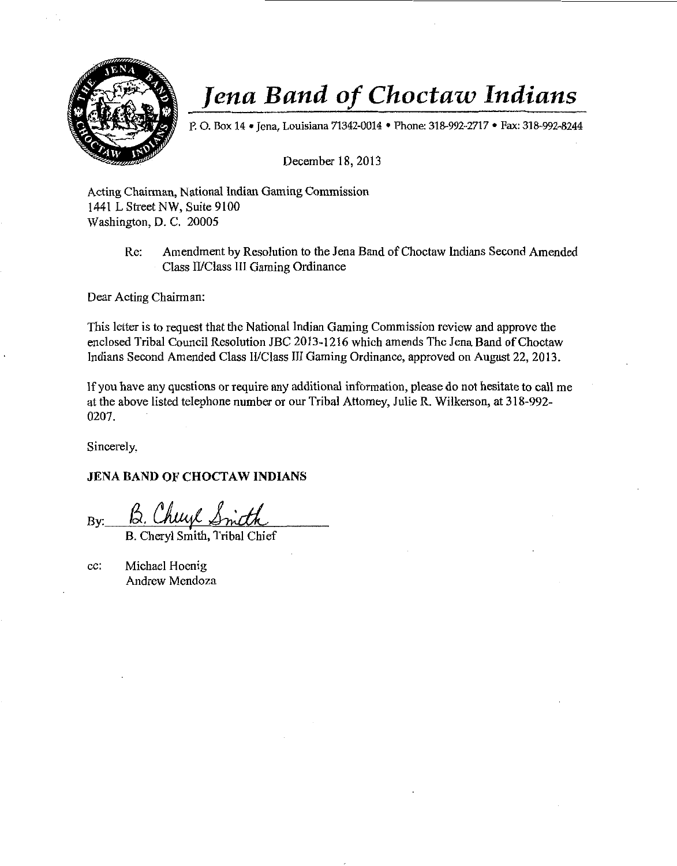

P. O. Box 14 • Jena, Louisiana 71342-0014 • Phone: 318-992-2717 • Fax: 318-992-8244

December 18, 2013

Acting Chairman, National lndian Gaming Commission 1441 L Street NW, Suite 9100 Washington, D. C. 20005

> Re: Amendment by Resolution to the Jena Band of Choctaw Indians Second Amended Class II/Class III Gaming Ordinance

Dear Acting Chairman:

This letter is to request that the National Indian Gaming Commission review and approve the enclosed Tribal Council Resolution JBC 2013-1216 which amends The Jena Band of Choctaw Indians Second Amended Class II/Class III Gaming Ordinance, approved on August 22, 2013.

lf you have any questions or require any additional information, please do not hesitate to call me at the above listed telephone number or our Tribal Attorney, Julie R. Wilkerson, at 318-992- 0207.

Sincerely,

#### **JENA BAND OF CHOCTAW INDIANS**

 $By:$   $B.$  Cheryl  $\mathcal{S}$ me

B. Cheryl Smith, Tribal Chief

cc: Michael Hoenig Andrew Mendoza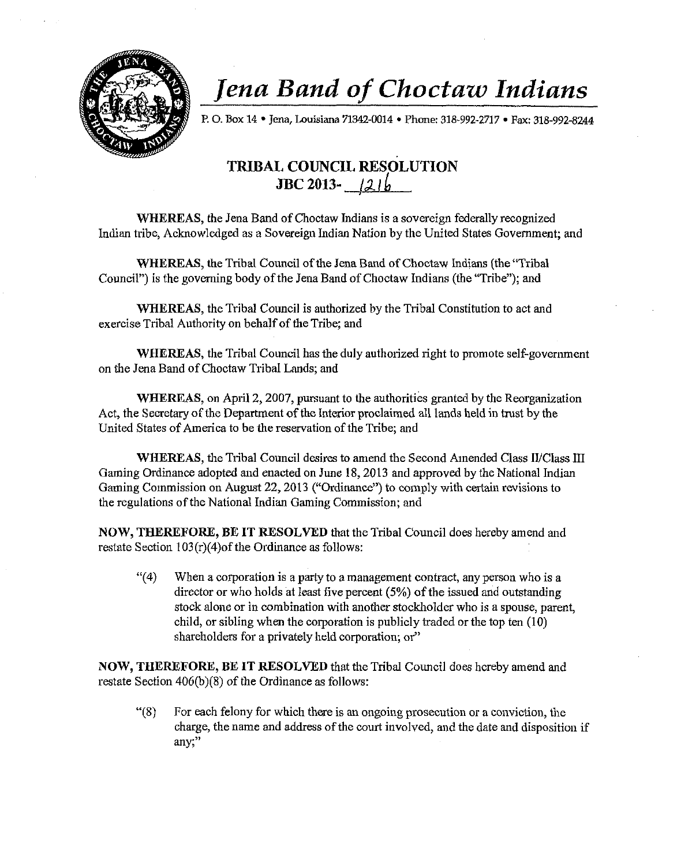

P. 0. Box 14 •Jena, Louisiana 71342-0014 • Phone: 318-992-2717 • Fax: 318-992-8244

### TRIBAL COUNCIL RESOLUTION  $JBC 2013 - 21b$

WHEREAS, the Jena Band of Choctaw Indians is a sovereign federally recognized Indian tribe, Acknowledged as a Sovereign Indian Nation by the United States Government; and

WHEREAS, the Tribal Council of the Jena Band of Choctaw Indians (the "Tribal Council") is the governing body of the Jena Band of Choctaw Indians (the "Tribe"); and

WHEREAS, the Tribal Council is authorized by the Tribal Constitution to act and exercise Tribal Authority on behalf of the Tribe; and

WHEREAS, the Tribal Council has the duly authorized iight to promote self-government on the Jena Band of Choctaw Tribal Lands; and

WHEREAS, on April 2, 2007, pursuant to the authorities granted by the Reorganization Act, the Secretary of the Department of the Interior proclaimed all lands held in trust by the United States of America to be the reservation of the Tribe; and

WHEREAS, the Tribal Council desires to amend the Second Amended Class II/Class III Gaming Ordinance adopted and enacted on June 18, 2013 and approved by the National Indian Gaming Commission on August 22, 2013 ("Ordinance") to comply with certain revisions to the regulations of the National Indian Gaming Commission; and

NOW, THEREFORE, BE IT RESOLVED that the Tribal Council does hereby amend and restate Section  $103(r)(4)$ of the Ordinance as follows:

 $\mathcal{L}(4)$  When a corporation is a party to a management contract, any person who is a director or who holds at least five percent (5%) of the issued and outstanding stock alone or in combination with another stockholder who is a spouse, parent, child, or sibling when the corporation is publicly traded or the top ten (10) shareholders for a privately held corporation; or"

NOW, THEREFORE, BE IT RESOLVED that the Tribal Council does hereby amend and restate Section  $406(b)(8)$  of the Ordinance as follows:

 $"$ (8) For each felony for which there is an ongoing prosecution or a conviction, the charge, the name and address of the court involved, and the date and disposition if any;"